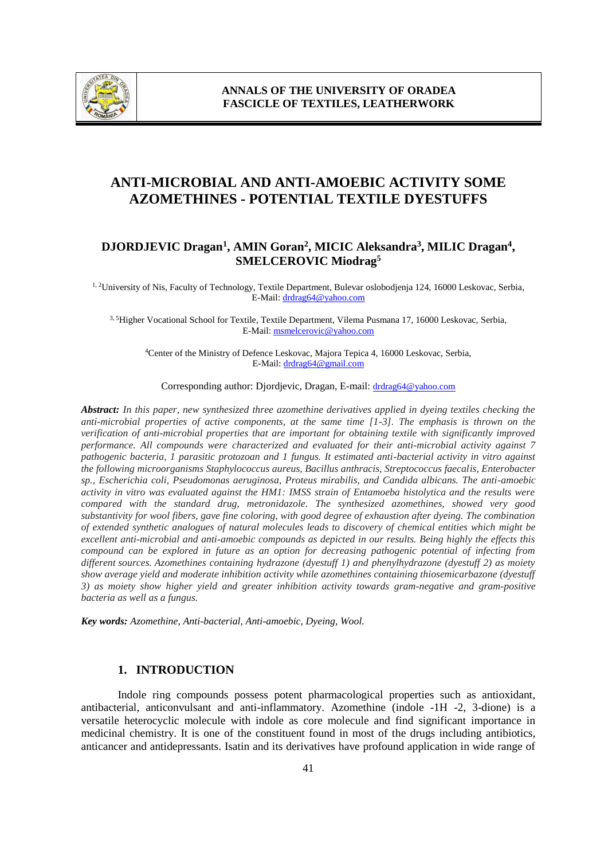

# **ANTI-MICROBIAL AND ANTI-AMOEBIC ACTIVITY SOME AZOMETHINES - POTENTIAL TEXTILE DYESTUFFS**

## **DJORDJEVIC Dragan<sup>1</sup> , AMIN Goran<sup>2</sup> , MICIC Aleksandra<sup>3</sup> , MILIC Dragan<sup>4</sup> , SMELCEROVIC Miodrag<sup>5</sup>**

<sup>1, 2</sup>University of Nis, Faculty of Technology, Textile Department, Bulevar oslobodjenja 124, 16000 Leskovac, Serbia, E-Mail: drdrag64@yahoo.com

3, 5Higher Vocational School for Textile, Textile Department, Vilema Pusmana 17, 16000 Leskovac, Serbia, E-Mail: msmelcerovic@yahoo.com

<sup>4</sup>Center of the Ministry of Defence Leskovac, Majora Tepica 4, 16000 Leskovac, Serbia, E-Mail: drdrag64@gmail.com

Corresponding author: Djordjevic, Dragan, E-mail: drdrag64@yahoo.com

*Abstract: In this paper, new synthesized three azomethine derivatives applied in dyeing textiles checking the anti-microbial properties of active components, at the same time [1-3]. The emphasis is thrown on the verification of anti-microbial properties that are important for obtaining textile with significantly improved performance. All compounds were characterized and evaluated for their anti-microbial activity against 7 pathogenic bacteria, 1 parasitic protozoan and 1 fungus. It estimated anti-bacterial activity in vitro against the following microorganisms Staphylococcus aureus, Bacillus anthracis, Streptococcus faecalis, Enterobacter sp., Escherichia coli, Pseudomonas aeruginosa, Proteus mirabilis, and Candida albicans. The anti-amoebic activity in vitro was evaluated against the HM1: IMSS strain of Entamoeba histolytica and the results were compared with the standard drug, metronidazole. The synthesized azomethines, showed very good substantivity for wool fibers, gave fine coloring, with good degree of exhaustion after dyeing. The combination of extended synthetic analogues of natural molecules leads to discovery of chemical entities which might be excellent anti-microbial and anti-amoebic compounds as depicted in our results. Being highly the effects this compound can be explored in future as an option for decreasing pathogenic potential of infecting from different sources. Azomethines containing hydrazone (dyestuff 1) and phenylhydrazone (dyestuff 2) as moiety show average yield and moderate inhibition activity while azomethines containing thiosemicarbazone (dyestuff 3) as moiety show higher yield and greater inhibition activity towards gram-negative and gram-positive bacteria as well as a fungus.*

*Key words: Azomethine, Anti-bacterial, Anti-amoebic, Dyeing, Wool.*

## **1. INTRODUCTION**

Indole ring compounds possess potent pharmacological properties such as antioxidant, antibacterial, anticonvulsant and anti-inflammatory. Azomethine (indole -1H -2, 3-dione) is a versatile heterocyclic molecule with indole as core molecule and find significant importance in medicinal chemistry. It is one of the constituent found in most of the drugs including antibiotics, anticancer and antidepressants. Isatin and its derivatives have profound application in wide range of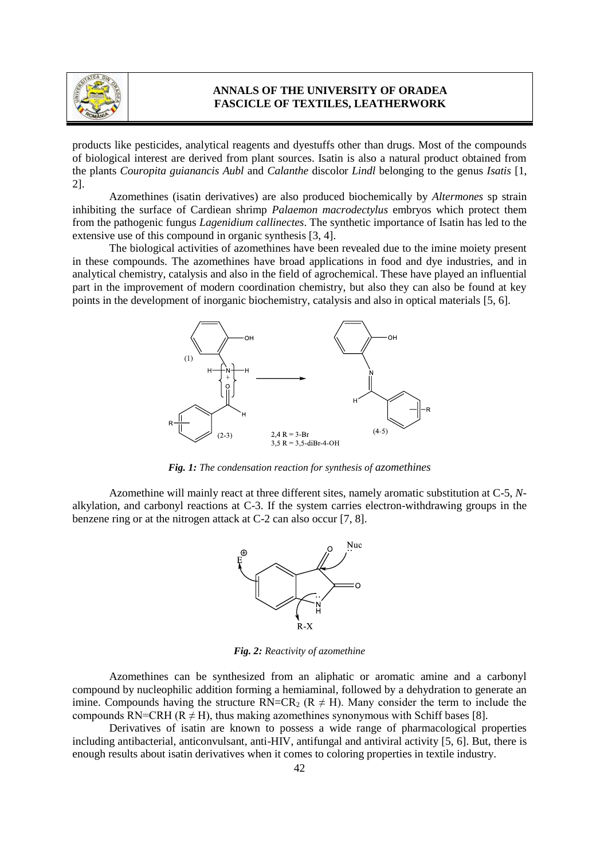

products like pesticides, analytical reagents and dyestuffs other than drugs. Most of the compounds of biological interest are derived from plant sources. Isatin is also a natural product obtained from the plants *Couropita guianancis Aubl* and *Calanthe* discolor *Lindl* belonging to the genus *Isatis* [1, 2].

Azomethines (isatin derivatives) are also produced biochemically by *Altermones* sp strain inhibiting the surface of Cardiean shrimp *Palaemon macrodectylus* embryos which protect them from the pathogenic fungus *Lagenidium callinectes*. The synthetic importance of Isatin has led to the extensive use of this compound in organic synthesis [3, 4].

The biological activities of azomethines have been revealed due to the imine moiety present in these compounds. The azomethines have broad applications in food and dye industries, and in analytical chemistry, catalysis and also in the field of agrochemical. These have played an influential part in the improvement of modern coordination chemistry, but also they can also be found at key points in the development of inorganic biochemistry, catalysis and also in optical materials [5, 6].



*Fig. 1: The condensation reaction for synthesis of azomethines*

Azomethine will mainly react at three different sites, namely aromatic substitution at C-5, *N*alkylation, and carbonyl reactions at C-3. If the system carries electron-withdrawing groups in the benzene ring or at the nitrogen attack at C-2 can also occur [7, 8].



*Fig. 2: Reactivity of azomethine*

Azomethines can be synthesized from an aliphatic or aromatic amine and a carbonyl compound by nucleophilic addition forming a hemiaminal, followed by a dehydration to generate an imine. Compounds having the structure  $RN=CR_2$  ( $R \neq H$ ). Many consider the term to include the compounds RN=CRH ( $R \neq H$ ), thus making azomethines synonymous with Schiff bases [8].

Derivatives of isatin are known to possess a wide range of pharmacological properties including antibacterial, anticonvulsant, anti-HIV, antifungal and antiviral activity [5, 6]. But, there is enough results about isatin derivatives when it comes to coloring properties in textile industry.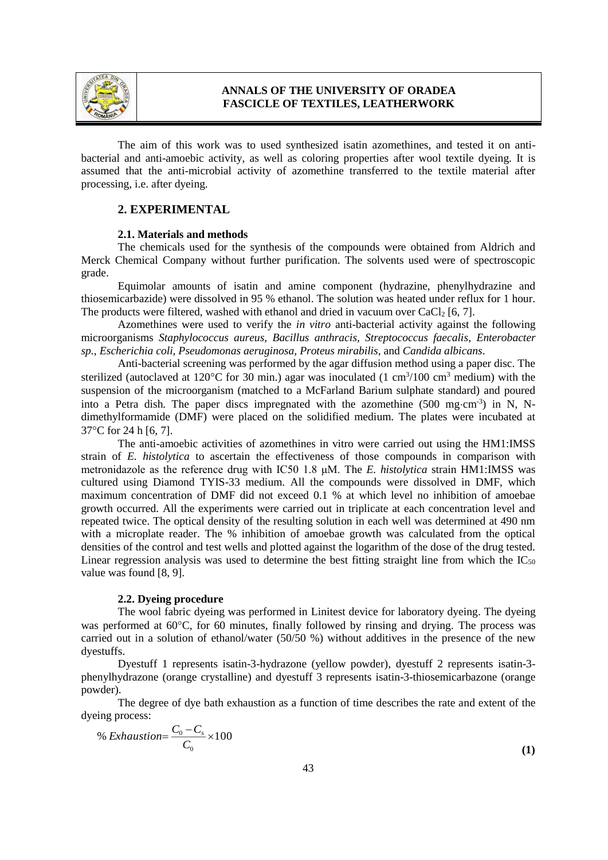

The aim of this work was to used synthesized isatin azomethines, and tested it on antibacterial and anti-amoebic activity, as well as coloring properties after wool textile dyeing. It is assumed that the anti-microbial activity of azomethine transferred to the textile material after processing, i.e. after dyeing.

#### **2. EXPERIMENTAL**

#### **2.1. Materials and methods**

The chemicals used for the synthesis of the compounds were obtained from Aldrich and Merck Chemical Company without further purification. The solvents used were of spectroscopic grade.

Equimolar amounts of isatin and amine component (hydrazine, phenylhydrazine and thiosemicarbazide) were dissolved in 95 % ethanol. The solution was heated under reflux for 1 hour. The products were filtered, washed with ethanol and dried in vacuum over  $CaCl<sub>2</sub>$  [6, 7].

Azomethines were used to verify the *in vitro* anti-bacterial activity against the following microorganisms *Staphylococcus aureus, Bacillus anthracis, Streptococcus faecalis, Enterobacter sp., Escherichia coli, Pseudomonas aeruginosa, Proteus mirabilis,* and *Candida albicans*.

Anti-bacterial screening was performed by the agar diffusion method using a paper disc. The sterilized (autoclaved at 120 $\degree$ C for 30 min.) agar was inoculated (1 cm<sup>3</sup>/100 cm<sup>3</sup> medium) with the suspension of the microorganism (matched to a McFarland Barium sulphate standard) and poured into a Petra dish. The paper discs impregnated with the azomethine  $(500 \text{ mg} \cdot \text{cm}^{-3})$  in N, Ndimethylformamide (DMF) were placed on the solidified medium. The plates were incubated at 37°C for 24 h [6, 7].

The anti-amoebic activities of azomethines in vitro were carried out using the HM1:IMSS strain of *E. histolytica* to ascertain the effectiveness of those compounds in comparison with metronidazole as the reference drug with IC50 1.8 μM. The *E. histolytica* strain HM1:IMSS was cultured using Diamond TYIS-33 medium. All the compounds were dissolved in DMF, which maximum concentration of DMF did not exceed 0.1 % at which level no inhibition of amoebae growth occurred. All the experiments were carried out in triplicate at each concentration level and repeated twice. The optical density of the resulting solution in each well was determined at 490 nm with a microplate reader. The % inhibition of amoebae growth was calculated from the optical densities of the control and test wells and plotted against the logarithm of the dose of the drug tested. Linear regression analysis was used to determine the best fitting straight line from which the  $IC_{50}$ value was found [8, 9].

#### **2.2. Dyeing procedure**

The wool fabric dyeing was performed in Linitest device for laboratory dyeing. The dyeing was performed at  $60^{\circ}$ C, for 60 minutes, finally followed by rinsing and drying. The process was carried out in a solution of ethanol/water (50/50 %) without additives in the presence of the new dyestuffs.

Dyestuff 1 represents isatin-3-hydrazone (yellow powder), dyestuff 2 represents isatin-3 phenylhydrazone (orange crystalline) and dyestuff 3 represents isatin-3-thiosemicarbazone (orange powder).

The degree of dye bath exhaustion as a function of time describes the rate and extent of the dyeing process:

% *Exhaustion* = 
$$
\frac{C_0 - C_s}{C_0} \times 100
$$
 (1)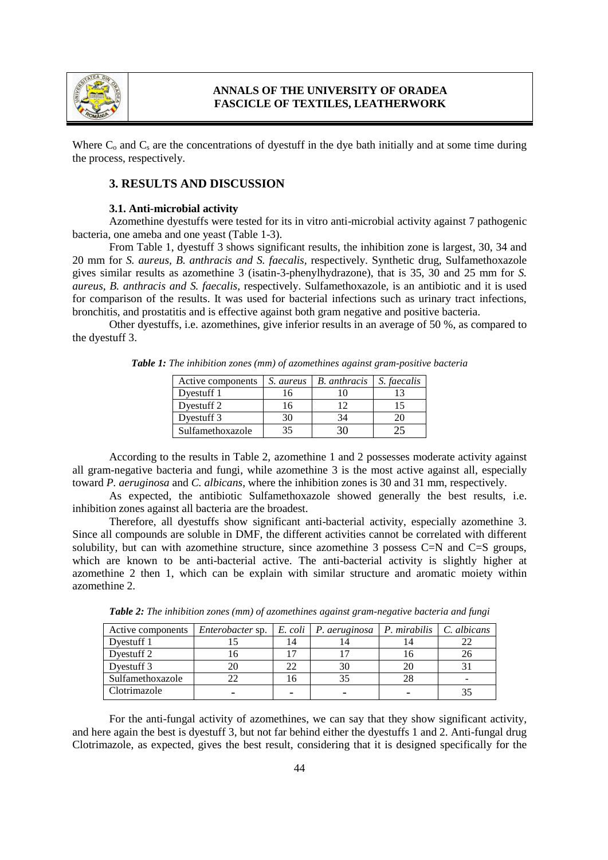

Where  $C_0$  and  $C_s$  are the concentrations of dyestuff in the dye bath initially and at some time during the process, respectively.

#### **3. RESULTS AND DISCUSSION**

#### **3.1. Anti-microbial activity**

Azomethine dyestuffs were tested for its in vitro anti-microbial activity against 7 pathogenic bacteria, one ameba and one yeast (Table 1-3).

From Table 1, dyestuff 3 shows significant results, the inhibition zone is largest, 30, 34 and 20 mm for *S. aureus, B. anthracis and S. faecalis,* respectively. Synthetic drug, Sulfamethoxazole gives similar results as azomethine 3 (isatin-3-phenylhydrazone), that is 35, 30 and 25 mm for *S. aureus, B. anthracis and S. faecalis,* respectively. Sulfamethoxazole, is an antibiotic and it is used for comparison of the results. It was used for bacterial infections such as urinary tract infections, bronchitis, and prostatitis and is effective against both gram negative and positive bacteria.

Other dyestuffs, i.e. azomethines, give inferior results in an average of 50 %, as compared to the dyestuff 3.

| Active components | S. aureus | <b>B.</b> anthracis | S. faecalis |
|-------------------|-----------|---------------------|-------------|
| Dyestuff 1        |           |                     |             |
| Dyestuff 2        |           |                     |             |
| Dyestuff 3        |           |                     |             |
| Sulfamethoxazole  |           |                     |             |

*Table 1: The inhibition zones (mm) of azomethines against gram-positive bacteria*

According to the results in Table 2, azomethine 1 and 2 possesses moderate activity against all gram-negative bacteria and fungi, while azomethine 3 is the most active against all, especially toward *P. aeruginosa* and *C. albicans,* where the inhibition zones is 30 and 31 mm, respectively.

As expected, the antibiotic Sulfamethoxazole showed generally the best results, i.e. inhibition zones against all bacteria are the broadest.

Therefore, all dyestuffs show significant anti-bacterial activity, especially azomethine 3. Since all compounds are soluble in DMF, the different activities cannot be correlated with different solubility, but can with azomethine structure, since azomethine 3 possess  $C=N$  and  $C=S$  groups, which are known to be anti-bacterial active. The anti-bacterial activity is slightly higher at azomethine 2 then 1, which can be explain with similar structure and aromatic moiety within azomethine 2.

| Active components | <i>Enterobacter</i> sp. |     | $E.$ coli $\mid$ P. aeruginosa | P. mirabilis | $\mid$ C. albicans |
|-------------------|-------------------------|-----|--------------------------------|--------------|--------------------|
| Dyestuff 1        |                         | 14  |                                | 14           |                    |
| Dyestuff 2        |                         |     |                                |              |                    |
| Dyestuff 3        |                         | 22  | 30                             | 20           |                    |
| Sulfamethoxazole  |                         | l b |                                | 28           | -                  |
| Clotrimazole      |                         |     |                                |              |                    |

*Table 2: The inhibition zones (mm) of azomethines against gram-negative bacteria and fungi*

For the anti-fungal activity of azomethines, we can say that they show significant activity, and here again the best is dyestuff 3, but not far behind either the dyestuffs 1 and 2. Anti-fungal drug Clotrimazole, as expected, gives the best result, considering that it is designed specifically for the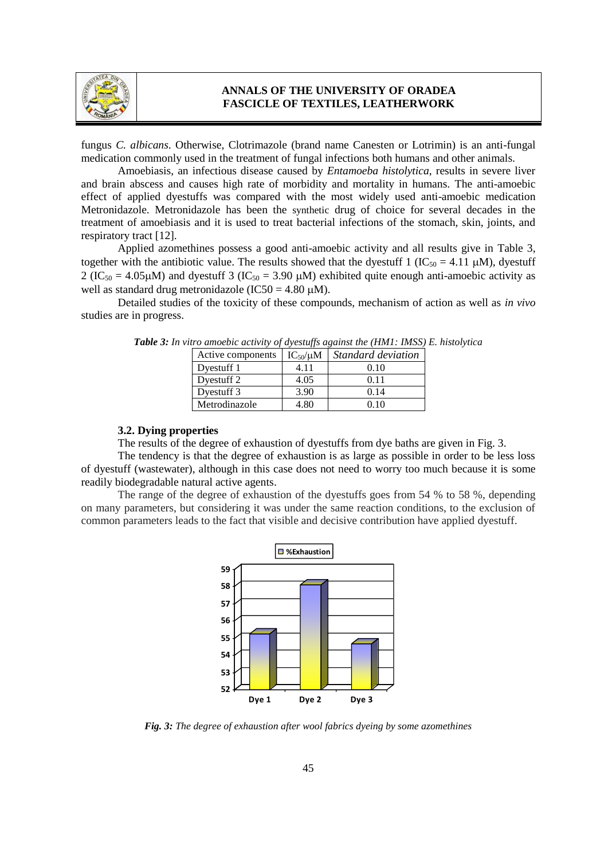

fungus *C. albicans*. Otherwise, Clotrimazole (brand name Canesten or Lotrimin) is an anti-fungal medication commonly used in the treatment of fungal infections both humans and other animals.

Amoebiasis, an infectious disease caused by *Entamoeba histolytica*, results in severe liver and brain abscess and causes high rate of morbidity and mortality in humans. The anti-amoebic effect of applied dyestuffs was compared with the most widely used anti-amoebic medication Metronidazole. Metronidazole has been the synthetic drug of choice for several decades in the treatment of amoebiasis and it is used to treat bacterial infections of the stomach, skin, joints, and respiratory tract [12].

Applied azomethines possess a good anti-amoebic activity and all results give in Table 3, together with the antibiotic value. The results showed that the dyestuff 1 (IC<sub>50</sub> = 4.11  $\mu$ M), dyestuff  $2 (IC<sub>50</sub> = 4.05 \mu M)$  and dyestuff 3 (IC<sub>50</sub> = 3.90  $\mu$ M) exhibited quite enough anti-amoebic activity as well as standard drug metronidazole (IC50 = 4.80  $\mu$ M).

Detailed studies of the toxicity of these compounds, mechanism of action as well as *in vivo* studies are in progress.

| Active components | $IC_{50}/\mu M$ | <i>Standard deviation</i> |
|-------------------|-----------------|---------------------------|
| Dyestuff 1        | 4.11            | 0.10                      |
| Dyestuff 2        | 4.05            | 0.11                      |
| Dyestuff 3        | 3.90            | 0.14                      |
| Metrodinazole     | 4.80            | 0 10                      |

| <b>Table 3:</b> In vitro amoebic activity of dyestuffs against the (HM1: IMSS) E. histolytica |  |  |  |
|-----------------------------------------------------------------------------------------------|--|--|--|
|                                                                                               |  |  |  |

## **3.2. Dying properties**

The results of the degree of exhaustion of dyestuffs from dye baths are given in Fig. 3.

The tendency is that the degree of exhaustion is as large as possible in order to be less loss of dyestuff (wastewater), although in this case does not need to worry too much because it is some readily biodegradable natural active agents.

The range of the degree of exhaustion of the dyestuffs goes from 54 % to 58 %, depending on many parameters, but considering it was under the same reaction conditions, to the exclusion of common parameters leads to the fact that visible and decisive contribution have applied dyestuff.



*Fig. 3: The degree of exhaustion after wool fabrics dyeing by some azomethines*